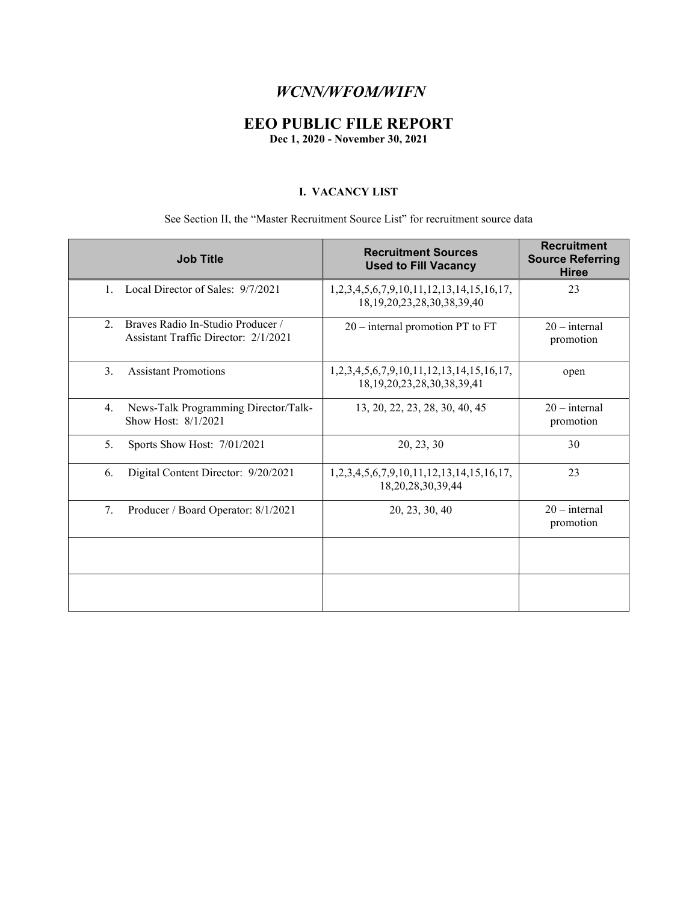### WCNN/WFOM/WIFN

### EEO PUBLIC FILE REPORT

Dec 1, 2020 - November 30, 2021

#### I. VACANCY LIST

#### See Section II, the "Master Recruitment Source List" for recruitment source data

| <b>Job Title</b>                                                                | <b>Recruitment Sources</b><br><b>Used to Fill Vacancy</b>                             | <b>Recruitment</b><br><b>Source Referring</b><br><b>Hiree</b> |
|---------------------------------------------------------------------------------|---------------------------------------------------------------------------------------|---------------------------------------------------------------|
| Local Director of Sales: 9/7/2021<br>$1_{-}$                                    | 1, 2, 3, 4, 5, 6, 7, 9, 10, 11, 12, 13, 14, 15, 16, 17,<br>18.19.20.23.28.30.38.39.40 | 23                                                            |
| Braves Radio In-Studio Producer /<br>2.<br>Assistant Traffic Director: 2/1/2021 | $20$ – internal promotion PT to FT                                                    | $20$ – internal<br>promotion                                  |
| 3.<br><b>Assistant Promotions</b>                                               | 1,2,3,4,5,6,7,9,10,11,12,13,14,15,16,17,<br>18, 19, 20, 23, 28, 30, 38, 39, 41        | open                                                          |
| News-Talk Programming Director/Talk-<br>4.<br>Show Host: 8/1/2021               | 13, 20, 22, 23, 28, 30, 40, 45                                                        | $20$ – internal<br>promotion                                  |
| 5.<br>Sports Show Host: 7/01/2021                                               | 20, 23, 30                                                                            | 30                                                            |
| Digital Content Director: 9/20/2021<br>6.                                       | 1, 2, 3, 4, 5, 6, 7, 9, 10, 11, 12, 13, 14, 15, 16, 17,<br>18,20,28,30,39,44          | 23                                                            |
| 7.<br>Producer / Board Operator: 8/1/2021                                       | 20, 23, 30, 40                                                                        | $20$ – internal<br>promotion                                  |
|                                                                                 |                                                                                       |                                                               |
|                                                                                 |                                                                                       |                                                               |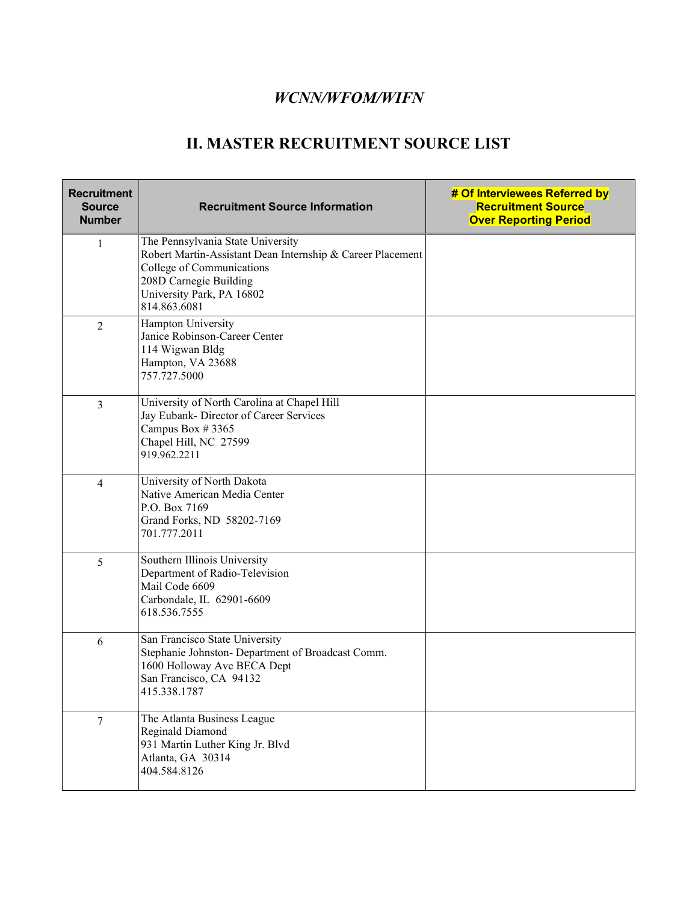## WCNN/WFOM/WIFN

# II. MASTER RECRUITMENT SOURCE LIST

| <b>Recruitment</b><br><b>Source</b><br><b>Number</b> | <b>Recruitment Source Information</b>                                                                                                                                                               | # Of Interviewees Referred by<br><b>Recruitment Source</b><br><b>Over Reporting Period</b> |
|------------------------------------------------------|-----------------------------------------------------------------------------------------------------------------------------------------------------------------------------------------------------|--------------------------------------------------------------------------------------------|
| 1                                                    | The Pennsylvania State University<br>Robert Martin-Assistant Dean Internship & Career Placement<br>College of Communications<br>208D Carnegie Building<br>University Park, PA 16802<br>814.863.6081 |                                                                                            |
| $\overline{2}$                                       | Hampton University<br>Janice Robinson-Career Center<br>114 Wigwan Bldg<br>Hampton, VA 23688<br>757.727.5000                                                                                         |                                                                                            |
| $\overline{3}$                                       | University of North Carolina at Chapel Hill<br>Jay Eubank- Director of Career Services<br>Campus Box #3365<br>Chapel Hill, NC 27599<br>919.962.2211                                                 |                                                                                            |
| 4                                                    | University of North Dakota<br>Native American Media Center<br>P.O. Box 7169<br>Grand Forks, ND 58202-7169<br>701.777.2011                                                                           |                                                                                            |
| 5                                                    | Southern Illinois University<br>Department of Radio-Television<br>Mail Code 6609<br>Carbondale, IL 62901-6609<br>618.536.7555                                                                       |                                                                                            |
| 6                                                    | San Francisco State University<br>Stephanie Johnston- Department of Broadcast Comm.<br>1600 Holloway Ave BECA Dept<br>San Francisco, CA 94132<br>415.338.1787                                       |                                                                                            |
| $\overline{7}$                                       | The Atlanta Business League<br>Reginald Diamond<br>931 Martin Luther King Jr. Blvd<br>Atlanta, GA 30314<br>404.584.8126                                                                             |                                                                                            |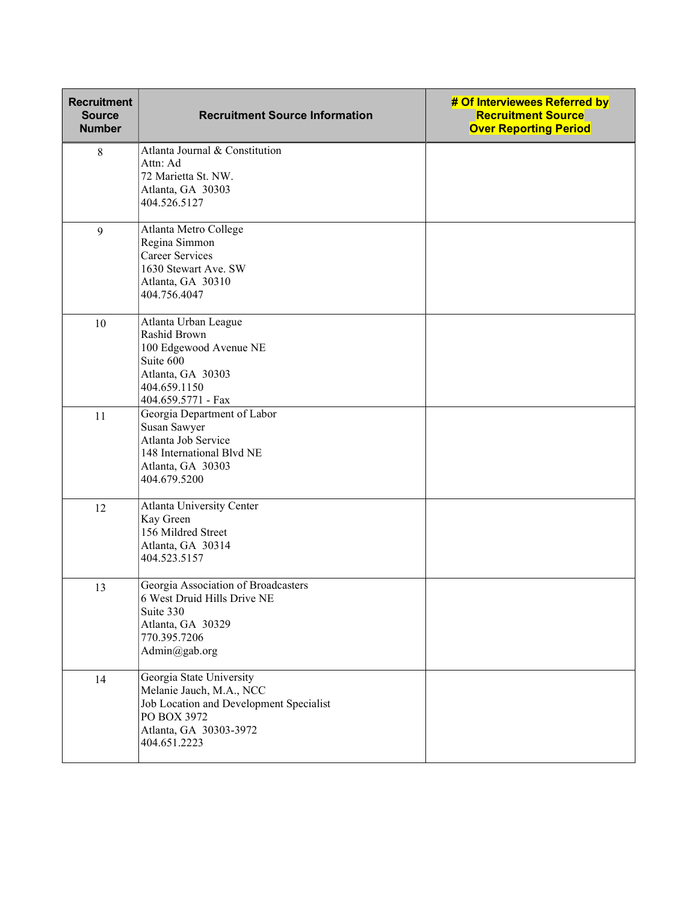| <b>Recruitment</b><br><b>Source</b><br><b>Number</b> | <b>Recruitment Source Information</b>                                                                                                                    | # Of Interviewees Referred by<br><b>Recruitment Source</b><br><b>Over Reporting Period</b> |
|------------------------------------------------------|----------------------------------------------------------------------------------------------------------------------------------------------------------|--------------------------------------------------------------------------------------------|
| $\,8\,$                                              | Atlanta Journal & Constitution<br>Attn: Ad<br>72 Marietta St. NW.<br>Atlanta, GA 30303<br>404.526.5127                                                   |                                                                                            |
| 9                                                    | Atlanta Metro College<br>Regina Simmon<br><b>Career Services</b><br>1630 Stewart Ave. SW<br>Atlanta, GA 30310<br>404.756.4047                            |                                                                                            |
| 10                                                   | Atlanta Urban League<br>Rashid Brown<br>100 Edgewood Avenue NE<br>Suite 600<br>Atlanta, GA 30303<br>404.659.1150<br>404.659.5771 - Fax                   |                                                                                            |
| 11                                                   | Georgia Department of Labor<br>Susan Sawyer<br>Atlanta Job Service<br>148 International Blvd NE<br>Atlanta, GA 30303<br>404.679.5200                     |                                                                                            |
| 12                                                   | Atlanta University Center<br>Kay Green<br>156 Mildred Street<br>Atlanta, GA 30314<br>404.523.5157                                                        |                                                                                            |
| 13                                                   | Georgia Association of Broadcasters<br>6 West Druid Hills Drive NE<br>Suite 330<br>Atlanta, GA 30329<br>770.395.7206<br>Admin@gab.org                    |                                                                                            |
| 14                                                   | Georgia State University<br>Melanie Jauch, M.A., NCC<br>Job Location and Development Specialist<br>PO BOX 3972<br>Atlanta, GA 30303-3972<br>404.651.2223 |                                                                                            |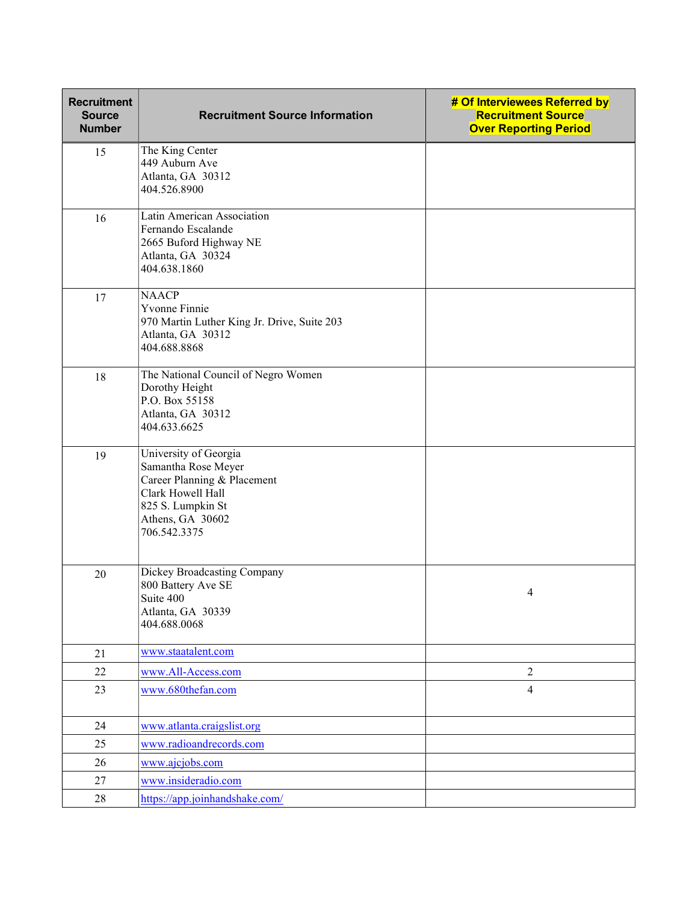| <b>Recruitment</b><br><b>Source</b><br><b>Number</b> | <b>Recruitment Source Information</b>                                                                                                                     | # Of Interviewees Referred by<br><b>Recruitment Source</b><br><b>Over Reporting Period</b> |
|------------------------------------------------------|-----------------------------------------------------------------------------------------------------------------------------------------------------------|--------------------------------------------------------------------------------------------|
| 15                                                   | The King Center<br>449 Auburn Ave<br>Atlanta, GA 30312<br>404.526.8900                                                                                    |                                                                                            |
| 16                                                   | Latin American Association<br>Fernando Escalande<br>2665 Buford Highway NE<br>Atlanta, GA 30324<br>404.638.1860                                           |                                                                                            |
| 17                                                   | <b>NAACP</b><br>Yvonne Finnie<br>970 Martin Luther King Jr. Drive, Suite 203<br>Atlanta, GA 30312<br>404.688.8868                                         |                                                                                            |
| 18                                                   | The National Council of Negro Women<br>Dorothy Height<br>P.O. Box 55158<br>Atlanta, GA 30312<br>404.633.6625                                              |                                                                                            |
| 19                                                   | University of Georgia<br>Samantha Rose Meyer<br>Career Planning & Placement<br>Clark Howell Hall<br>825 S. Lumpkin St<br>Athens, GA 30602<br>706.542.3375 |                                                                                            |
| 20                                                   | Dickey Broadcasting Company<br>800 Battery Ave SE<br>Suite 400<br>Atlanta, GA 30339<br>404.688.0068                                                       | 4                                                                                          |
| 21                                                   | www.staatalent.com                                                                                                                                        |                                                                                            |
| 22                                                   | www.All-Access.com                                                                                                                                        | 2                                                                                          |
| 23                                                   | www.680thefan.com                                                                                                                                         | $\overline{4}$                                                                             |
| 24                                                   | www.atlanta.craigslist.org                                                                                                                                |                                                                                            |
| 25                                                   | www.radioandrecords.com                                                                                                                                   |                                                                                            |
| 26                                                   | www.ajcjobs.com                                                                                                                                           |                                                                                            |
| 27                                                   | www.insideradio.com                                                                                                                                       |                                                                                            |
| $28\,$                                               | https://app.joinhandshake.com/                                                                                                                            |                                                                                            |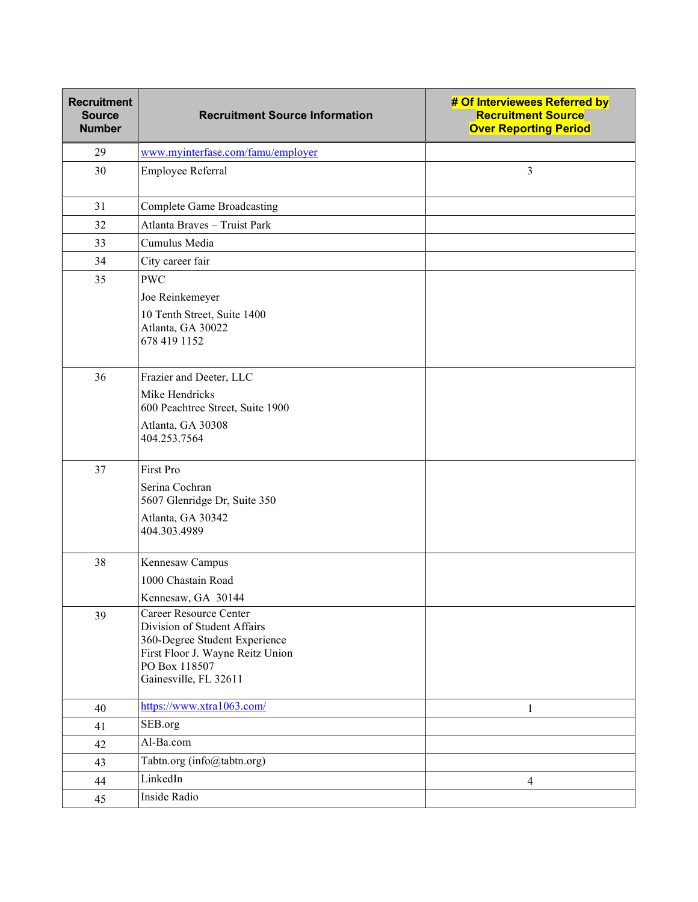| <b>Recruitment</b><br><b>Source</b><br><b>Number</b> | <b>Recruitment Source Information</b>                                                                                                                                | # Of Interviewees Referred by<br><b>Recruitment Source</b><br><b>Over Reporting Period</b> |
|------------------------------------------------------|----------------------------------------------------------------------------------------------------------------------------------------------------------------------|--------------------------------------------------------------------------------------------|
| 29                                                   | www.myinterfase.com/famu/employer                                                                                                                                    |                                                                                            |
| 30                                                   | Employee Referral                                                                                                                                                    | $\overline{3}$                                                                             |
| 31                                                   | <b>Complete Game Broadcasting</b>                                                                                                                                    |                                                                                            |
| 32                                                   | Atlanta Braves - Truist Park                                                                                                                                         |                                                                                            |
| 33                                                   | Cumulus Media                                                                                                                                                        |                                                                                            |
| 34                                                   | City career fair                                                                                                                                                     |                                                                                            |
| 35                                                   | <b>PWC</b><br>Joe Reinkemeyer<br>10 Tenth Street, Suite 1400<br>Atlanta, GA 30022<br>678 419 1152                                                                    |                                                                                            |
| 36                                                   | Frazier and Deeter, LLC<br>Mike Hendricks<br>600 Peachtree Street, Suite 1900<br>Atlanta, GA 30308<br>404.253.7564                                                   |                                                                                            |
| 37                                                   | First Pro<br>Serina Cochran<br>5607 Glenridge Dr, Suite 350<br>Atlanta, GA 30342<br>404.303.4989                                                                     |                                                                                            |
| 38                                                   | Kennesaw Campus<br>1000 Chastain Road<br>Kennesaw, GA 30144                                                                                                          |                                                                                            |
| 39                                                   | Career Resource Center<br>Division of Student Affairs<br>360-Degree Student Experience<br>First Floor J. Wayne Reitz Union<br>PO Box 118507<br>Gainesville, FL 32611 |                                                                                            |
| 40                                                   | https://www.xtra1063.com/                                                                                                                                            | 1                                                                                          |
| 41                                                   | SEB.org                                                                                                                                                              |                                                                                            |
| 42                                                   | Al-Ba.com                                                                                                                                                            |                                                                                            |
| 43                                                   | Tabtn.org (info@tabtn.org)                                                                                                                                           |                                                                                            |
| 44                                                   | LinkedIn                                                                                                                                                             | $\overline{4}$                                                                             |
| 45                                                   | Inside Radio                                                                                                                                                         |                                                                                            |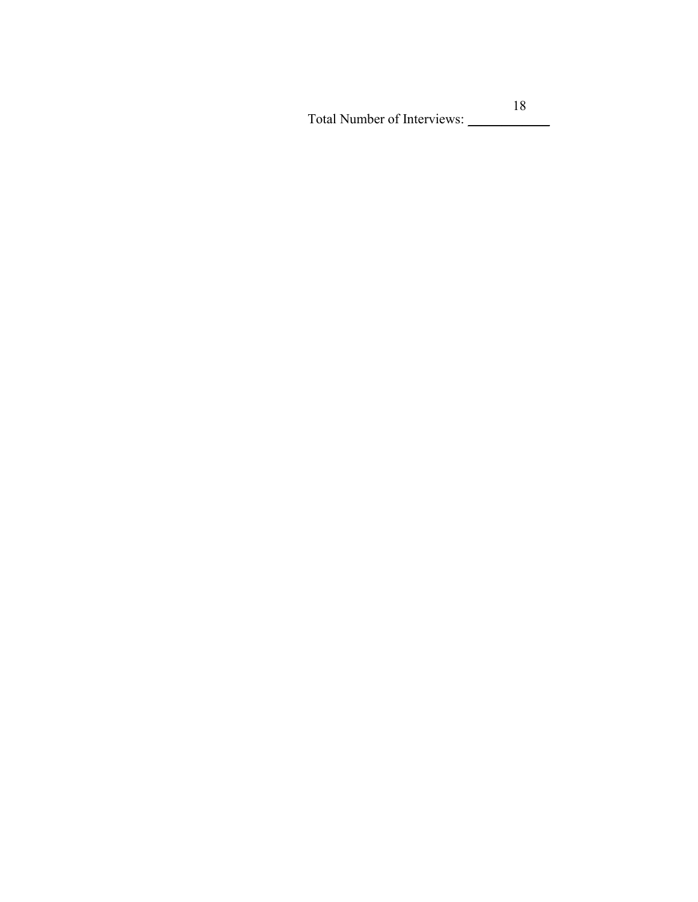Total Number of Interviews: \_\_\_\_\_\_\_\_\_\_\_\_